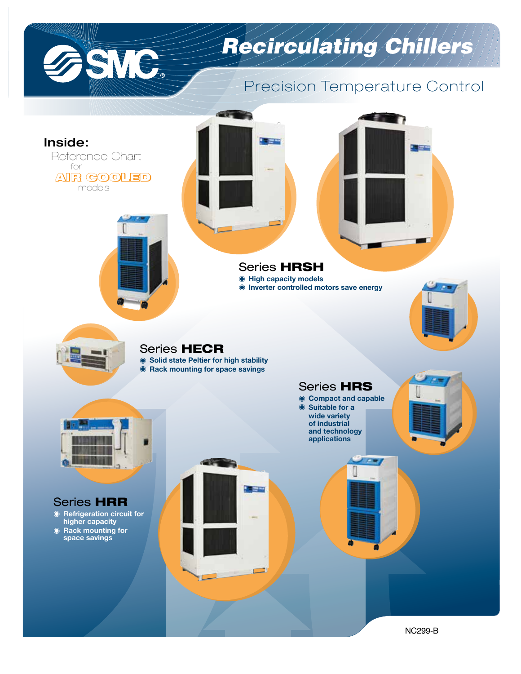

# *Recirculating Chillers*

## Precision Temperature Control

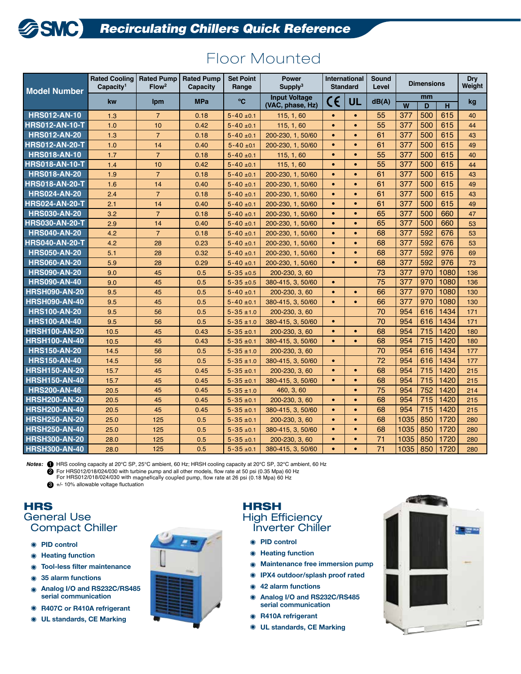| <b>Model Number</b>   | <b>Rated Cooling</b><br>Capacity <sup>1</sup> | <b>Rated Pump</b><br>Flow <sup>2</sup> | <b>Rated Pump</b><br>Capacity | <b>Set Point</b><br>Range | <b>Power</b><br>Supply <sup>3</sup>      | <b>Standard</b> | International | Sound<br>Level  | <b>Dimensions</b> |     |      | <b>Dry</b><br>Weight |
|-----------------------|-----------------------------------------------|----------------------------------------|-------------------------------|---------------------------|------------------------------------------|-----------------|---------------|-----------------|-------------------|-----|------|----------------------|
|                       | kw                                            | <b>Ipm</b>                             | <b>MPa</b>                    | °C                        | <b>Input Voltage</b><br>(VAC, phase, Hz) | CE              | UL            | dB(A)           | mm<br>W<br>D<br>н |     |      | kg                   |
| <b>HRS012-AN-10</b>   | 1.3                                           | $\overline{7}$                         | 0.18                          | $5 - 40 \pm 0.1$          | 115, 1, 60                               | $\bullet$       | $\bullet$     | 55              | 377               | 500 | 615  | 40                   |
| <b>HRS012-AN-10-T</b> | 1.0                                           | 10                                     | 0.42                          | $5 - 40 \pm 0.1$          | 115, 1, 60                               | $\bullet$       | $\bullet$     | 55              | 377               | 500 | 615  | 44                   |
| <b>HRS012-AN-20</b>   | 1.3                                           | $\overline{7}$                         | 0.18                          | $5 - 40 \pm 0.1$          | 200-230, 1, 50/60                        | $\bullet$       | $\bullet$     | 61              | 377               | 500 | 615  | 43                   |
| <b>HRS012-AN-20-T</b> | 1.0                                           | 14                                     | 0.40                          | $5 - 40 \pm 0.1$          | 200-230, 1, 50/60                        | $\bullet$       | $\bullet$     | 61              | 377               | 500 | 615  | 49                   |
| <b>HRS018-AN-10</b>   | 1.7                                           | $\overline{7}$                         | 0.18                          | $5 - 40 \pm 0.1$          | 115, 1, 60                               | $\bullet$       | $\bullet$     | 55              | 377               | 500 | 615  | 40                   |
| <b>HRS018-AN-10-T</b> | 1.4                                           | 10                                     | 0.42                          | $5 - 40 \pm 0.1$          | 115, 1, 60                               | $\bullet$       | $\bullet$     | 55              | 377               | 500 | 615  | 44                   |
| <b>HRS018-AN-20</b>   | 1.9                                           | $\overline{7}$                         | 0.18                          | $5 - 40 \pm 0.1$          | 200-230, 1, 50/60                        | $\bullet$       | $\bullet$     | 61              | 377               | 500 | 615  | 43                   |
| <b>HRS018-AN-20-T</b> | 1.6                                           | 14                                     | 0.40                          | $5 - 40 \pm 0.1$          | 200-230, 1, 50/60                        | $\bullet$       | $\bullet$     | 61              | 377               | 500 | 615  | 49                   |
| <b>HRS024-AN-20</b>   | 2.4                                           | $\overline{7}$                         | 0.18                          | $5 - 40 \pm 0.1$          | 200-230, 1, 50/60                        | $\bullet$       | $\bullet$     | 61              | 377               | 500 | 615  | 43                   |
| <b>HRS024-AN-20-T</b> | 2.1                                           | 14                                     | 0.40                          | $5 - 40 \pm 0.1$          | 200-230, 1, 50/60                        | $\bullet$       | $\bullet$     | 61              | 377               | 500 | 615  | 49                   |
| <b>HRS030-AN-20</b>   | 3.2                                           | $\overline{7}$                         | 0.18                          | $5 - 40 \pm 0.1$          | 200-230, 1, 50/60                        | $\bullet$       | $\bullet$     | 65              | 377               | 500 | 660  | 47                   |
| <b>HRS030-AN-20-T</b> | 2.9                                           | 14                                     | 0.40                          | $5 - 40 \pm 0.1$          | 200-230, 1, 50/60                        | $\bullet$       | $\bullet$     | 65              | 377               | 500 | 660  | 53                   |
| <b>HRS040-AN-20</b>   | 4.2                                           | $\overline{7}$                         | 0.18                          | $5 - 40 \pm 0.1$          | 200-230, 1, 50/60                        | $\bullet$       | $\bullet$     | 68              | 377               | 592 | 676  | 53                   |
| <b>HRS040-AN-20-T</b> | 4.2                                           | 28                                     | 0.23                          | $5 - 40 \pm 0.1$          | 200-230, 1, 50/60                        | $\bullet$       | $\bullet$     | 68              | 377               | 592 | 676  | 53                   |
| <b>HRS050-AN-20</b>   | 5.1                                           | 28                                     | 0.32                          | $5 - 40 \pm 0.1$          | 200-230, 1, 50/60                        | $\bullet$       | $\bullet$     | 68              | 377               | 592 | 976  | 69                   |
| <b>HRS060-AN-20</b>   | 5.9                                           | 28                                     | 0.29                          | $5 - 40 \pm 0.1$          | 200-230, 1, 50/60                        | $\bullet$       | $\bullet$     | 68              | 377               | 592 | 976  | 73                   |
| <b>HRS090-AN-20</b>   | 9.0                                           | 45                                     | 0.5                           | $5 - 35 + 0.5$            | 200-230, 3, 60                           |                 |               | 73              | 377               | 970 | 1080 | 136                  |
| <b>HRS090-AN-40</b>   | 9.0                                           | 45                                     | 0.5                           | $5 - 35 + 0.5$            | 380-415, 3, 50/60                        | $\bullet$       |               | 75              | 377               | 970 | 1080 | 136                  |
| <b>HRSH090-AN-20</b>  | 9.5                                           | 45                                     | 0.5                           | $5 - 40 \pm 0.1$          | 200-230, 3, 60                           | $\bullet$       | $\bullet$     | 66              | 377               | 970 | 1080 | 130                  |
| <b>HRSH090-AN-40</b>  | 9.5                                           | 45                                     | 0.5                           | $5 - 40 \pm 0.1$          | 380-415, 3, 50/60                        | $\bullet$       | $\bullet$     | 66              | 377               | 970 | 1080 | 130                  |
| <b>HRS100-AN-20</b>   | 9.5                                           | 56                                     | 0.5                           | $5 - 35 \pm 1.0$          | 200-230, 3, 60                           |                 |               | 70              | 954               | 616 | 1434 | 171                  |
| <b>HRS100-AN-40</b>   | 9.5                                           | 56                                     | 0.5                           | $5 - 35 \pm 1.0$          | 380-415, 3, 50/60                        | $\bullet$       |               | 70              | 954               | 616 | 1434 | 171                  |
| <b>HRSH100-AN-20</b>  | 10.5                                          | 45                                     | 0.43                          | $5 - 35 \pm 0.1$          | 200-230, 3, 60                           | $\bullet$       | $\bullet$     | 68              | 954               | 715 | 1420 | 180                  |
| <b>HRSH100-AN-40</b>  | 10.5                                          | 45                                     | 0.43                          | $5 - 35 \pm 0.1$          | 380-415, 3, 50/60                        | $\bullet$       | $\bullet$     | 68              | 954               | 715 | 1420 | 180                  |
| <b>HRS150-AN-20</b>   | 14.5                                          | 56                                     | 0.5                           | $5 - 35 \pm 1.0$          | 200-230, 3, 60                           |                 |               | 70              | 954               | 616 | 1434 | 177                  |
| <b>HRS150-AN-40</b>   | 14.5                                          | 56                                     | 0.5                           | $5 - 35 \pm 1.0$          | 380-415, 3, 50/60                        | $\bullet$       |               | $\overline{72}$ | 954               | 616 | 1434 | 177                  |
| <b>HRSH150-AN-20</b>  | 15.7                                          | 45                                     | 0.45                          | $5 - 35 \pm 0.1$          | 200-230, 3, 60                           | $\bullet$       | $\bullet$     | 68              | 954               | 715 | 1420 | 215                  |
| <b>HRSH150-AN-40</b>  | 15.7                                          | 45                                     | 0.45                          | $5 - 35 \pm 0.1$          | 380-415, 3, 50/60                        | $\bullet$       | $\bullet$     | 68              | 954               | 715 | 1420 | 215                  |
| <b>HRS200-AN-46</b>   | 20.5                                          | 45                                     | 0.45                          | $5 - 35 \pm 1.0$          | 460, 3, 60                               |                 | $\bullet$     | 75              | 954               | 752 | 1420 | 214                  |
| <b>HRSH200-AN-20</b>  | 20.5                                          | 45                                     | 0.45                          | $5 - 35 \pm 0.1$          | 200-230, 3, 60                           | $\bullet$       | $\bullet$     | 68              | 954               | 715 | 1420 | 215                  |
| <b>HRSH200-AN-40</b>  | 20.5                                          | 45                                     | 0.45                          | $5 - 35 \pm 0.1$          | 380-415, 3, 50/60                        | $\bullet$       | $\bullet$     | 68              | 954               | 715 | 1420 | 215                  |
| <b>HRSH250-AN-20</b>  | 25.0                                          | 125                                    | 0.5                           | $5 - 35 \pm 0.1$          | 200-230, 3, 60                           | $\bullet$       | $\bullet$     | 68              | 1035              | 850 | 1720 | 280                  |
| <b>HRSH250-AN-40</b>  | 25.0                                          | 125                                    | 0.5                           | $5 - 35 \pm 0.1$          | 380-415, 3, 50/60                        | $\bullet$       | $\bullet$     | 68              | 1035              | 850 | 1720 | 280                  |
| <b>HRSH300-AN-20</b>  | 28.0                                          | 125                                    | 0.5                           | $5 - 35 + 0.1$            | 200-230, 3, 60                           | $\bullet$       | $\bullet$     | 71              | 1035              | 850 | 1720 | 280                  |
| <b>HRSH300-AN-40</b>  | 28.0                                          | 125                                    | 0.5                           | $5 - 35 + 0.1$            | 380-415, 3, 50/60                        | $\bullet$       | $\bullet$     | 71              | 1035              | 850 | 1720 | 280                  |

## Floor Mounted

*Notes:* 1 HRS cooling capacity at 20°C SP, 25°C ambient, 60 Hz; HRSH cooling capacity at 20°C SP, 32°C ambient, 60 Hz  $\bullet$  For HRS012/018/024/030 with turbine pump and all other models, flow rate at 50 psi (0.35 Mpa) 60 Hz

For HRS012/018/024/030 with magnetically coupled pump, flow rate at <sup>26</sup> psi (0.18 Mpa) <sup>60</sup> Hz

 $\bigoplus$  +/- 10% allowable voltage fluctuation

#### HRS General Use Compact Chiller

- **PID control**
- **Heating function**
- **Tool-less filter maintenance**  $\bullet$
- **35 alarm functions**  $\bullet$
- **Analog I/O and RS232C/RS485** Ô **serial communication**
- **R407C or R410A refrigerant**
- **UL standards, CE Marking**



### **HRSH** High Efficiency Inverter Chiller

- **PID control**
- **Heating function**
- **Maintenance free immersion pump**  $\bullet$
- **IPX4 outdoor/splash proof rated**
- **42 alarm functions**
- **Analog I/O and RS232C/RS485 serial communication**
- **R410A refrigerant**
- **UL standards, CE Marking**

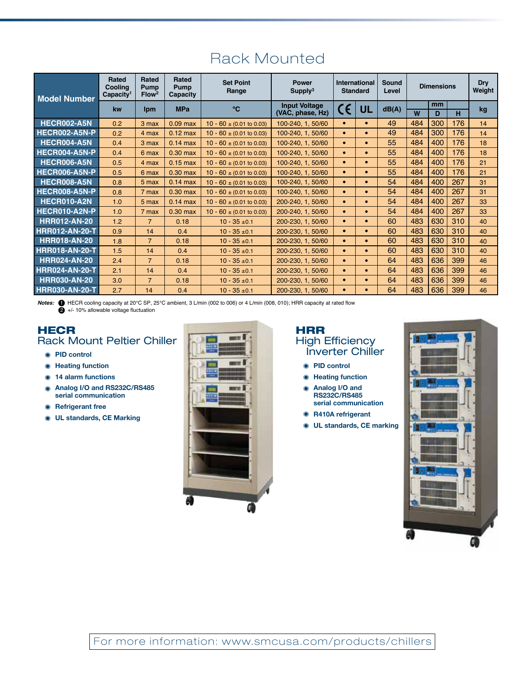| <b>Model Number</b>   | Rated<br>Cooling<br>Capacity <sup>1</sup> | <b>Rated</b><br><b>Pump</b><br>Flow <sup>2</sup> | Rated<br>Pump<br>Capacity | <b>Set Point</b><br>Range             | <b>Power</b><br>Supply <sup>3</sup>      | International<br><b>Standard</b> |           | Sound<br>Level | <b>Dimensions</b> |         |     | <b>Dry</b><br>Weight |
|-----------------------|-------------------------------------------|--------------------------------------------------|---------------------------|---------------------------------------|------------------------------------------|----------------------------------|-----------|----------------|-------------------|---------|-----|----------------------|
|                       | kw                                        | <b>Ipm</b>                                       | <b>MPa</b>                | °C.                                   | <b>Input Voltage</b><br>(VAC, phase, Hz) | C€                               | UL        | dB(A)          | W                 | mm<br>D | н   | kq                   |
| <b>HECR002-A5N</b>    | 0.2                                       | 3 max                                            | $0.09$ max                | $10 - 60 \pm (0.01 \text{ to } 0.03)$ | 100-240, 1, 50/60                        | $\bullet$                        | $\bullet$ | 49             | 484               | 300     | 176 | 14                   |
| HECR002-A5N-P         | 0.2                                       | 4 max                                            | $0.12 \text{ max}$        | $10 - 60 \pm (0.01 \text{ to } 0.03)$ | 100-240, 1, 50/60                        | $\bullet$                        | $\bullet$ | 49             | 484               | 300     | 176 | 14                   |
| HECR004-A5N           | 0.4                                       | 3 max                                            | $0.14$ max                | $10 - 60 \pm (0.01 \text{ to } 0.03)$ | 100-240, 1, 50/60                        | $\bullet$                        | $\bullet$ | 55             | 484               | 400     | 176 | 18                   |
| HECR004-A5N-P         | 0.4                                       | 6 max                                            | $0.30$ max                | $10 - 60 \pm (0.01 \text{ to } 0.03)$ | 100-240, 1, 50/60                        | $\bullet$                        | $\bullet$ | 55             | 484               | 400     | 176 | 18                   |
| HECR006-A5N           | 0.5                                       | 4 max                                            | $0.15$ max                | $10 - 60 \pm (0.01 \text{ to } 0.03)$ | 100-240. 1. 50/60                        | $\bullet$                        | $\bullet$ | 55             | 484               | 400     | 176 | 21                   |
| HECR006-A5N-P         | 0.5                                       | 6 max                                            | $0.30$ max                | $10 - 60 \pm (0.01 \text{ to } 0.03)$ | 100-240, 1, 50/60                        | $\bullet$                        | $\bullet$ | 55             | 484               | 400     | 176 | 21                   |
| <b>HECR008-A5N</b>    | 0.8                                       | 5 max                                            | $0.14$ max                | $10 - 60 \pm (0.01 \text{ to } 0.03)$ | 100-240, 1, 50/60                        | $\bullet$                        | $\bullet$ | 54             | 484               | 400     | 267 | 31                   |
| HECR008-A5N-P         | 0.8                                       | 7 max                                            | $0.30$ max                | $10 - 60 \pm (0.01 \text{ to } 0.03)$ | 100-240, 1, 50/60                        | $\bullet$                        | $\bullet$ | 54             | 484               | 400     | 267 | 31                   |
| HECR010-A2N           | 1.0                                       | 5 max                                            | $0.14$ max                | $10 - 60 \pm (0.01 \text{ to } 0.03)$ | 200-240, 1, 50/60                        | $\bullet$                        | $\bullet$ | 54             | 484               | 400     | 267 | 33                   |
| HECR010-A2N-P         | 1.0                                       | 7 max                                            | 0.30 max                  | $10 - 60 \pm (0.01 \text{ to } 0.03)$ | 200-240, 1, 50/60                        | $\bullet$                        | $\bullet$ | 54             | 484               | 400     | 267 | 33                   |
| <b>HRR012-AN-20</b>   | 1.2                                       | $\overline{7}$                                   | 0.18                      | $10 - 35 + 0.1$                       | 200-230, 1, 50/60                        | $\bullet$                        | $\bullet$ | 60             | 483               | 630     | 310 | 40                   |
| <b>HRR012-AN-20-T</b> | 0.9                                       | 14                                               | 0.4                       | $10 - 35 + 0.1$                       | 200-230, 1, 50/60                        | $\bullet$                        | $\bullet$ | 60             | 483               | 630     | 310 | 40                   |
| <b>HRR018-AN-20</b>   | 1.8                                       | $\overline{7}$                                   | 0.18                      | $10 - 35 + 0.1$                       | 200-230, 1, 50/60                        | $\bullet$                        | $\bullet$ | 60             | 483               | 630     | 310 | 40                   |
| <b>HRR018-AN-20-T</b> | 1.5                                       | 14                                               | 0.4                       | $10 - 35 \pm 0.1$                     | 200-230, 1, 50/60                        | $\bullet$                        | $\bullet$ | 60             | 483               | 630     | 310 | 40                   |
| <b>HRR024-AN-20</b>   | 2.4                                       | $\overline{7}$                                   | 0.18                      | $10 - 35 + 0.1$                       | 200-230, 1, 50/60                        | $\bullet$                        | $\bullet$ | 64             | 483               | 636     | 399 | 46                   |
| <b>HRR024-AN-20-T</b> | 2.1                                       | 14                                               | 0.4                       | $10 - 35 + 0.1$                       | 200-230, 1, 50/60                        | $\bullet$                        | $\bullet$ | 64             | 483               | 636     | 399 | 46                   |
| <b>HRR030-AN-20</b>   | 3.0                                       | $\overline{7}$                                   | 0.18                      | $10 - 35 \pm 0.1$                     | 200-230, 1, 50/60                        | $\bullet$                        | $\bullet$ | 64             | 483               | 636     | 399 | 46                   |
| <b>HRR030-AN-20-T</b> | 2.7                                       | 14                                               | 0.4                       | $10 - 35 + 0.1$                       | 200-230, 1, 50/60                        | $\bullet$                        | $\bullet$ | 64             | 483               | 636     | 399 | 46                   |

Rack Mounted

*Notes:* 1 HECR cooling capacity at 20°C SP, 25°C ambient, 3 L/min (002 to 006) or 4 L/min (008, 010); HRR capacity at rated flow  $\ddot{2}$  +/- 10% allowable voltage fluctuation

### **HECR** Rack Mount Peltier Chiller

- **PID control**
- **Heating function**
- **14 alarm functions**
- **Analog I/O and RS232C/RS485**  $\bullet$ **serial communication**
- **Refrigerant free**
- **UL standards, CE Marking**



#### HRR High Efficiency Inverter Chiller

- **PID control**
- **Heating function**
- $\bullet$ **Analog I/O and RS232C/RS485 serial communication**
- **R410A refrigerant**
- **UL standards, CE marking**  $\bullet$